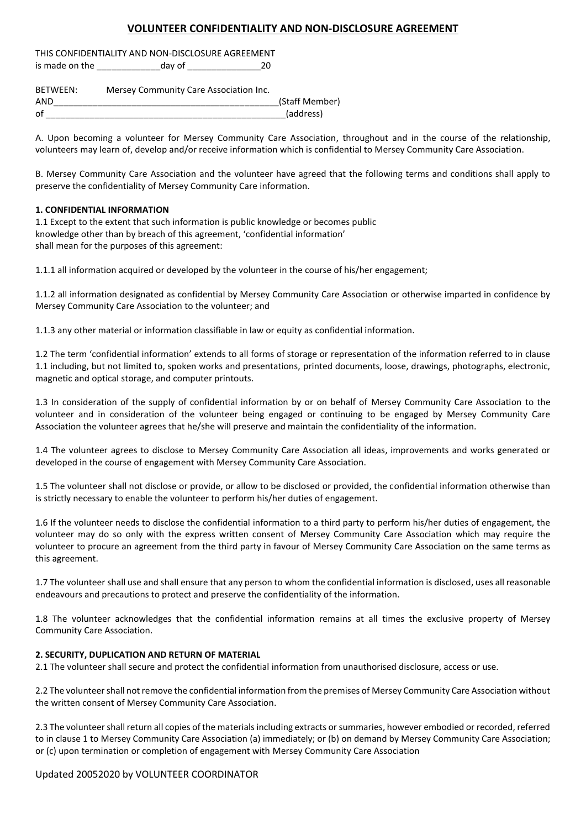# **VOLUNTEER CONFIDENTIALITY AND NON-DISCLOSURE AGREEMENT**

THIS CONFIDENTIALITY AND NON-DISCLOSURE AGREEMENT is made on the day of 20

| BETWEEN: | Mersey Community Care Association Inc. |                |
|----------|----------------------------------------|----------------|
| AND      |                                        | (Staff Member) |
| οf       |                                        | (address)      |

A. Upon becoming a volunteer for Mersey Community Care Association, throughout and in the course of the relationship, volunteers may learn of, develop and/or receive information which is confidential to Mersey Community Care Association.

B. Mersey Community Care Association and the volunteer have agreed that the following terms and conditions shall apply to preserve the confidentiality of Mersey Community Care information.

## **1. CONFIDENTIAL INFORMATION**

1.1 Except to the extent that such information is public knowledge or becomes public knowledge other than by breach of this agreement, 'confidential information' shall mean for the purposes of this agreement:

1.1.1 all information acquired or developed by the volunteer in the course of his/her engagement;

1.1.2 all information designated as confidential by Mersey Community Care Association or otherwise imparted in confidence by Mersey Community Care Association to the volunteer; and

1.1.3 any other material or information classifiable in law or equity as confidential information.

1.2 The term 'confidential information' extends to all forms of storage or representation of the information referred to in clause 1.1 including, but not limited to, spoken works and presentations, printed documents, loose, drawings, photographs, electronic, magnetic and optical storage, and computer printouts.

1.3 In consideration of the supply of confidential information by or on behalf of Mersey Community Care Association to the volunteer and in consideration of the volunteer being engaged or continuing to be engaged by Mersey Community Care Association the volunteer agrees that he/she will preserve and maintain the confidentiality of the information.

1.4 The volunteer agrees to disclose to Mersey Community Care Association all ideas, improvements and works generated or developed in the course of engagement with Mersey Community Care Association.

1.5 The volunteer shall not disclose or provide, or allow to be disclosed or provided, the confidential information otherwise than is strictly necessary to enable the volunteer to perform his/her duties of engagement.

1.6 If the volunteer needs to disclose the confidential information to a third party to perform his/her duties of engagement, the volunteer may do so only with the express written consent of Mersey Community Care Association which may require the volunteer to procure an agreement from the third party in favour of Mersey Community Care Association on the same terms as this agreement.

1.7 The volunteer shall use and shall ensure that any person to whom the confidential information is disclosed, uses all reasonable endeavours and precautions to protect and preserve the confidentiality of the information.

1.8 The volunteer acknowledges that the confidential information remains at all times the exclusive property of Mersey Community Care Association.

## **2. SECURITY, DUPLICATION AND RETURN OF MATERIAL**

2.1 The volunteer shall secure and protect the confidential information from unauthorised disclosure, access or use.

2.2 The volunteershall not remove the confidential information from the premises of Mersey Community Care Association without the written consent of Mersey Community Care Association.

2.3 The volunteershall return all copies of the materials including extracts or summaries, however embodied or recorded, referred to in clause 1 to Mersey Community Care Association (a) immediately; or (b) on demand by Mersey Community Care Association; or (c) upon termination or completion of engagement with Mersey Community Care Association

## Updated 20052020 by VOLUNTEER COORDINATOR